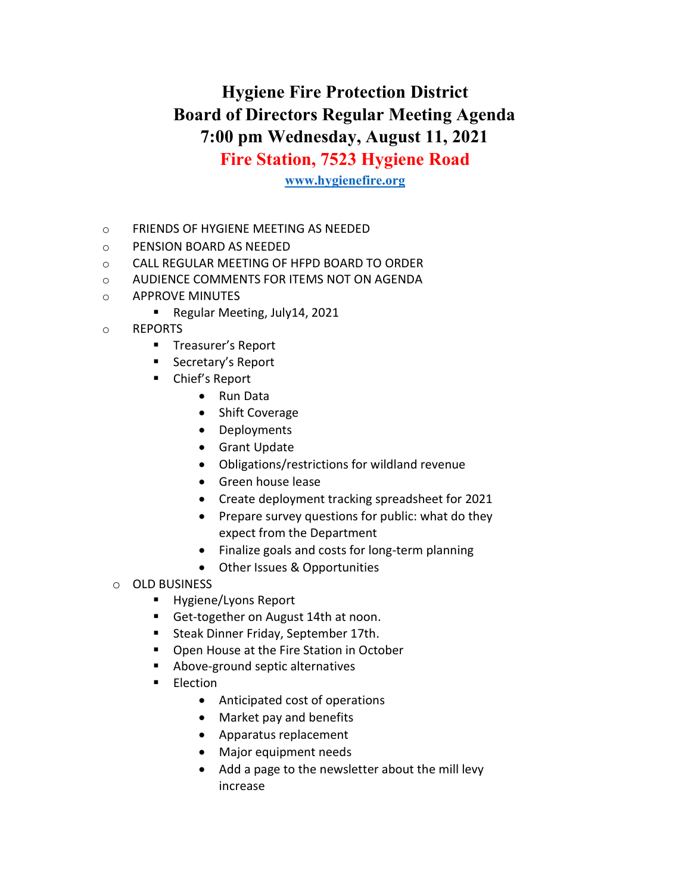## Hygiene Fire Protection District Board of Directors Regular Meeting Agenda 7:00 pm Wednesday, August 11, 2021 Fire Station, 7523 Hygiene Road

## www.hygienefire.org

- o FRIENDS OF HYGIENE MEETING AS NEEDED
- o PENSION BOARD AS NEEDED
- o CALL REGULAR MEETING OF HFPD BOARD TO ORDER
- o AUDIENCE COMMENTS FOR ITEMS NOT ON AGENDA
- o APPROVE MINUTES
	- Regular Meeting, July14, 2021
- o REPORTS
	- **Treasurer's Report**
	- Secretary's Report
	- Chief's Report
		- Run Data
		- Shift Coverage
		- Deployments
		- **•** Grant Update
		- Obligations/restrictions for wildland revenue
		- Green house lease
		- Create deployment tracking spreadsheet for 2021
		- Prepare survey questions for public: what do they expect from the Department
		- Finalize goals and costs for long-term planning
		- Other Issues & Opportunities
	- o OLD BUSINESS
		- **Hygiene/Lyons Report**
		- Get-together on August 14th at noon.
		- **Steak Dinner Friday, September 17th.**
		- **Open House at the Fire Station in October**
		- Above-ground septic alternatives
		- **Election** 
			- Anticipated cost of operations
			- Market pay and benefits
			- Apparatus replacement
			- Major equipment needs
			- Add a page to the newsletter about the mill levy increase